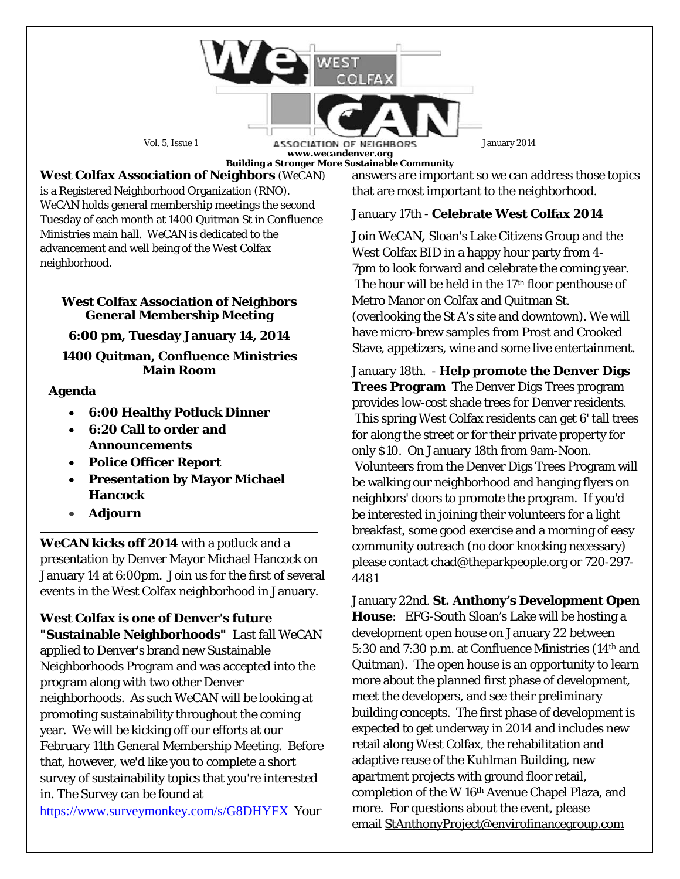

**West Colfax Association of Neighbors** (*WeCAN*) is a Registered Neighborhood Organization (RNO). *WeCAN* holds general membership meetings the second Tuesday of each month at 1400 Quitman St in Confluence Ministries main hall. *WeCAN* is dedicated to the advancement and well being of the West Colfax neighborhood.

#### **West Colfax Association of Neighbors General Membership Meeting**

**6:00 pm, Tuesday January 14, 2014**

**1400 Quitman, Confluence Ministries Main Room**

### **Agenda**

- **6:00 Healthy Potluck Dinner**
- **6:20 Call to order and Announcements**
- **Police Officer Report**
- **Presentation by Mayor Michael Hancock**
- **Adjourn**

*WeCAN* **kicks off 2014** with a potluck and a presentation by Denver Mayor Michael Hancock on January 14 at 6:00pm. Join us for the first of several events in the West Colfax neighborhood in January.

**West Colfax is one of Denver's future "Sustainable Neighborhoods"** Last fall WeCAN applied to Denver's brand new Sustainable Neighborhoods Program and was accepted into the program along with two other Denver neighborhoods. As such WeCAN will be looking at promoting sustainability throughout the coming year. We will be kicking off our efforts at our February 11th General Membership Meeting. Before that, however, we'd like you to complete a short survey of sustainability topics that you're interested in. The Survey can be found at <https://www.surveymonkey.com/s/G8DHYFX> Your

answers are important so we can address those topics that are most important to the neighborhood.

## January 17th - **Celebrate West Colfax 2014**

Join *WeCAN***,** Sloan's Lake Citizens Group and the West Colfax BID in a happy hour party from 4- 7pm to look forward and celebrate the coming year. The hour will be held in the 17<sup>th</sup> floor penthouse of Metro Manor on Colfax and Quitman St. (overlooking the St A's site and downtown). We will have micro-brew samples from Prost and Crooked Stave, appetizers, wine and some live entertainment.

January 18th. - **Help promote the Denver Digs Trees Program** The Denver Digs Trees program provides low-cost shade trees for Denver residents. This spring West Colfax residents can get 6' tall trees for along the street or for their private property for only \$10. On January 18th from 9am-Noon. Volunteers from the Denver Digs Trees Program will be walking our neighborhood and hanging flyers on neighbors' doors to promote the program. If you'd be interested in joining their volunteers for a light breakfast, some good exercise and a morning of easy community outreach (no door knocking necessary) please contact [chad@theparkpeople.org](mailto:chad@theparkpeople.org) or 720-297- 4481

January 22nd. **St. Anthony's Development Open House**: EFG-South Sloan's Lake will be hosting a development open house on January 22 between 5:30 and 7:30 p.m. at Confluence Ministries (14th and Quitman). The open house is an opportunity to learn more about the planned first phase of development, meet the developers, and see their preliminary building concepts. The first phase of development is expected to get underway in 2014 and includes new retail along West Colfax, the rehabilitation and adaptive reuse of the Kuhlman Building, new apartment projects with ground floor retail, completion of the W 16th Avenue Chapel Plaza, and more. For questions about the event, please email [StAnthonyProject@envirofinancegroup.com](mailto:StAnthonyProject@envirofinancegroup.com)